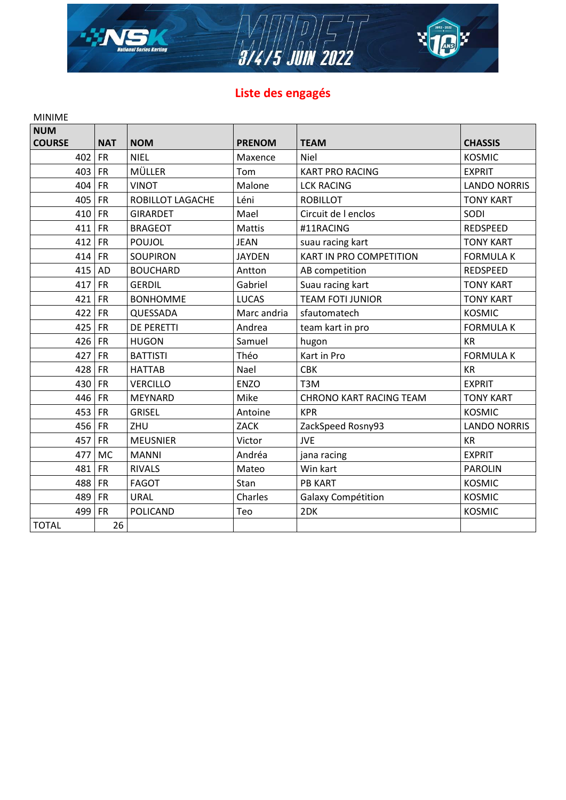

# Liste des engagés

| <b>MINIME</b> |            |                   |               |                                |                     |
|---------------|------------|-------------------|---------------|--------------------------------|---------------------|
| <b>NUM</b>    |            |                   |               |                                |                     |
| <b>COURSE</b> | <b>NAT</b> | <b>NOM</b>        | <b>PRENOM</b> | <b>TEAM</b>                    | <b>CHASSIS</b>      |
| 402           | <b>FR</b>  | <b>NIEL</b>       | Maxence       | <b>Niel</b>                    | <b>KOSMIC</b>       |
| 403           | FR         | MÜLLER            | Tom           | <b>KART PRO RACING</b>         | <b>EXPRIT</b>       |
| 404           | FR         | <b>VINOT</b>      | Malone        | <b>LCK RACING</b>              | <b>LANDO NORRIS</b> |
| 405           | FR         | ROBILLOT LAGACHE  | Léni          | <b>ROBILLOT</b>                | <b>TONY KART</b>    |
| 410           | FR         | <b>GIRARDET</b>   | Mael          | Circuit de l enclos            | SODI                |
| 411           | FR         | <b>BRAGEOT</b>    | <b>Mattis</b> | #11RACING                      | <b>REDSPEED</b>     |
| 412           | FR         | <b>POUJOL</b>     | <b>JEAN</b>   | suau racing kart               | <b>TONY KART</b>    |
| 414           | FR         | <b>SOUPIRON</b>   | <b>JAYDEN</b> | KART IN PRO COMPETITION        | <b>FORMULA K</b>    |
| 415           | <b>AD</b>  | <b>BOUCHARD</b>   | Antton        | AB competition                 | <b>REDSPEED</b>     |
| 417           | <b>FR</b>  | <b>GERDIL</b>     | Gabriel       | Suau racing kart               | <b>TONY KART</b>    |
| 421           | FR         | <b>BONHOMME</b>   | <b>LUCAS</b>  | <b>TEAM FOTI JUNIOR</b>        | <b>TONY KART</b>    |
| 422           | <b>FR</b>  | QUESSADA          | Marc andria   | sfautomatech                   | <b>KOSMIC</b>       |
| 425           | <b>FR</b>  | <b>DE PERETTI</b> | Andrea        | team kart in pro               | <b>FORMULA K</b>    |
| 426 FR        |            | <b>HUGON</b>      | Samuel        | hugon                          | <b>KR</b>           |
| 427           | FR         | <b>BATTISTI</b>   | Théo          | Kart in Pro                    | <b>FORMULA K</b>    |
| 428           | FR         | <b>HATTAB</b>     | Nael          | <b>CBK</b>                     | <b>KR</b>           |
| 430           | FR         | <b>VERCILLO</b>   | <b>ENZO</b>   | T <sub>3</sub> M               | <b>EXPRIT</b>       |
| 446           | <b>FR</b>  | <b>MEYNARD</b>    | Mike          | <b>CHRONO KART RACING TEAM</b> | <b>TONY KART</b>    |
| 453           | FR         | <b>GRISEL</b>     | Antoine       | <b>KPR</b>                     | <b>KOSMIC</b>       |
| 456           | FR         | ZHU               | <b>ZACK</b>   | ZackSpeed Rosny93              | <b>LANDO NORRIS</b> |
| 457           | <b>FR</b>  | <b>MEUSNIER</b>   | Victor        | <b>JVE</b>                     | <b>KR</b>           |
| 477           | <b>MC</b>  | <b>MANNI</b>      | Andréa        | jana racing                    | <b>EXPRIT</b>       |
| 481           | FR         | <b>RIVALS</b>     | Mateo         | Win kart                       | <b>PAROLIN</b>      |
| 488           | <b>FR</b>  | <b>FAGOT</b>      | Stan          | <b>PB KART</b>                 | <b>KOSMIC</b>       |
| 489           | <b>FR</b>  | <b>URAL</b>       | Charles       | Galaxy Compétition             | <b>KOSMIC</b>       |
| 499           | <b>FR</b>  | <b>POLICAND</b>   | Teo           | 2DK                            | <b>KOSMIC</b>       |
| <b>TOTAL</b>  | 26         |                   |               |                                |                     |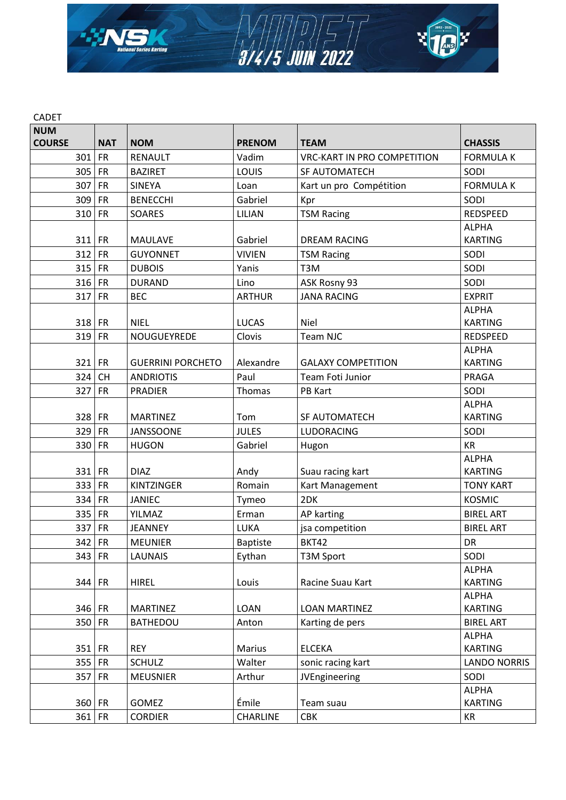

| <b>NUM</b>    |            |                          |                 |                                    |                                |
|---------------|------------|--------------------------|-----------------|------------------------------------|--------------------------------|
| <b>COURSE</b> | <b>NAT</b> | <b>NOM</b>               | <b>PRENOM</b>   | <b>TEAM</b>                        | <b>CHASSIS</b>                 |
| 301           | <b>FR</b>  | <b>RENAULT</b>           | Vadim           | <b>VRC-KART IN PRO COMPETITION</b> | <b>FORMULA K</b>               |
| 305           | <b>FR</b>  | <b>BAZIRET</b>           | LOUIS           | SF AUTOMATECH                      | SODI                           |
| 307           | <b>FR</b>  | <b>SINEYA</b>            | Loan            | Kart un pro Compétition            | <b>FORMULA K</b>               |
| 309           | <b>FR</b>  | <b>BENECCHI</b>          | Gabriel         | Kpr                                | SODI                           |
| 310           | <b>FR</b>  | <b>SOARES</b>            | LILIAN          | <b>TSM Racing</b>                  | <b>REDSPEED</b>                |
|               |            |                          |                 |                                    | <b>ALPHA</b>                   |
| 311 FR        |            | <b>MAULAVE</b>           | Gabriel         | <b>DREAM RACING</b>                | <b>KARTING</b>                 |
| 312           | <b>FR</b>  | <b>GUYONNET</b>          | <b>VIVIEN</b>   | <b>TSM Racing</b>                  | SODI                           |
| 315           | <b>FR</b>  | <b>DUBOIS</b>            | Yanis           | T3M                                | SODI                           |
| 316           | <b>FR</b>  | <b>DURAND</b>            | Lino            | ASK Rosny 93                       | SODI                           |
| 317           | <b>FR</b>  | <b>BEC</b>               | <b>ARTHUR</b>   | <b>JANA RACING</b>                 | <b>EXPRIT</b>                  |
|               |            |                          |                 |                                    | <b>ALPHA</b>                   |
| $318$ FR      |            | <b>NIEL</b>              | <b>LUCAS</b>    | <b>Niel</b>                        | <b>KARTING</b>                 |
| 319           | <b>FR</b>  | NOUGUEYREDE              | Clovis          | Team NJC                           | REDSPEED                       |
|               |            |                          |                 |                                    | <b>ALPHA</b>                   |
| 321 FR        |            | <b>GUERRINI PORCHETO</b> | Alexandre       | <b>GALAXY COMPETITION</b>          | <b>KARTING</b>                 |
| 324           | <b>CH</b>  | <b>ANDRIOTIS</b>         | Paul            | Team Foti Junior                   | <b>PRAGA</b>                   |
| 327           | <b>FR</b>  | <b>PRADIER</b>           | Thomas          | PB Kart                            | SODI                           |
|               |            |                          |                 |                                    | <b>ALPHA</b>                   |
| 328 FR        |            | <b>MARTINEZ</b>          | Tom             | SF AUTOMATECH                      | <b>KARTING</b>                 |
| 329           | <b>FR</b>  | <b>JANSSOONE</b>         | <b>JULES</b>    | <b>LUDORACING</b>                  | SODI                           |
| 330           | <b>FR</b>  | <b>HUGON</b>             | Gabriel         | Hugon                              | <b>KR</b>                      |
|               |            |                          |                 |                                    | <b>ALPHA</b>                   |
| 331 FR        |            | <b>DIAZ</b>              | Andy            | Suau racing kart                   | <b>KARTING</b>                 |
| 333           | FR         | <b>KINTZINGER</b>        | Romain          | Kart Management                    | <b>TONY KART</b>               |
| 334           | FR         | <b>JANIEC</b>            | Tymeo           | 2DK                                | <b>KOSMIC</b>                  |
| 335           | <b>FR</b>  | <b>YILMAZ</b>            | Erman           | AP karting                         | <b>BIREL ART</b>               |
| 337           | <b>FR</b>  | <b>JEANNEY</b>           | LUKA            | jsa competition                    | <b>BIREL ART</b>               |
| 342 FR        |            | <b>MEUNIER</b>           | <b>Baptiste</b> | BKT42                              | DR                             |
| 343 FR        |            | <b>LAUNAIS</b>           | Eythan          | <b>T3M Sport</b>                   | SODI                           |
|               |            |                          |                 |                                    | <b>ALPHA</b>                   |
| 344 FR        |            | <b>HIREL</b>             | Louis           | Racine Suau Kart                   | <b>KARTING</b>                 |
|               |            |                          |                 |                                    | <b>ALPHA</b>                   |
| 346 FR        |            | <b>MARTINEZ</b>          | LOAN            | <b>LOAN MARTINEZ</b>               | <b>KARTING</b>                 |
| 350 FR        |            | <b>BATHEDOU</b>          | Anton           | Karting de pers                    | <b>BIREL ART</b>               |
| $351$ FR      |            | <b>REY</b>               |                 |                                    | <b>ALPHA</b><br><b>KARTING</b> |
|               |            |                          | Marius          | <b>ELCEKA</b>                      |                                |
| 355           | <b>FR</b>  | <b>SCHULZ</b>            | Walter          | sonic racing kart                  | <b>LANDO NORRIS</b>            |
| 357           | <b>FR</b>  | <b>MEUSNIER</b>          | Arthur          | <b>JVEngineering</b>               | SODI                           |
|               |            |                          | Émile           |                                    | <b>ALPHA</b>                   |
| 360 FR        |            | GOMEZ                    |                 | Team suau                          | <b>KARTING</b>                 |
| 361 FR        |            | <b>CORDIER</b>           | CHARLINE        | <b>CBK</b>                         | KR                             |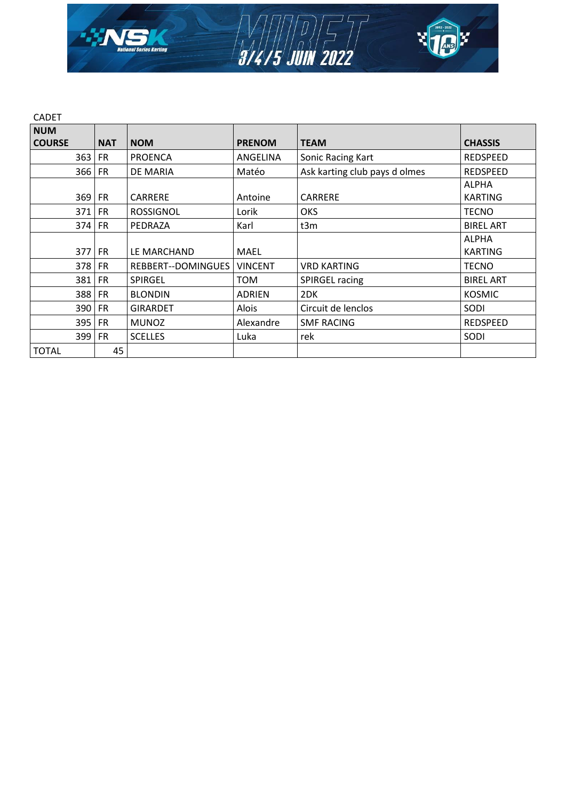

| <b>CADET</b>     |            |                    |                |                               |                  |
|------------------|------------|--------------------|----------------|-------------------------------|------------------|
| <b>NUM</b>       |            |                    |                |                               |                  |
| <b>COURSE</b>    | <b>NAT</b> | <b>NOM</b>         | <b>PRENOM</b>  | <b>TEAM</b>                   | <b>CHASSIS</b>   |
| 363 <sub>1</sub> | <b>FR</b>  | <b>PROENCA</b>     | ANGELINA       | Sonic Racing Kart             | REDSPEED         |
| 366              | <b>FR</b>  | DE MARIA           | Matéo          | Ask karting club pays d olmes | <b>REDSPEED</b>  |
|                  |            |                    |                |                               | <b>ALPHA</b>     |
| $369$ FR         |            | <b>CARRERE</b>     | Antoine        | <b>CARRERE</b>                | <b>KARTING</b>   |
| $371$ FR         |            | <b>ROSSIGNOL</b>   | Lorik          | <b>OKS</b>                    | <b>TECNO</b>     |
| $374$ FR         |            | PEDRAZA            | Karl           | t3m                           | <b>BIREL ART</b> |
|                  |            |                    |                |                               | <b>ALPHA</b>     |
| $377$ FR         |            | LE MARCHAND        | <b>MAEL</b>    |                               | <b>KARTING</b>   |
| 378 FR           |            | REBBERT--DOMINGUES | <b>VINCENT</b> | <b>VRD KARTING</b>            | <b>TECNO</b>     |
| 381              | <b>FR</b>  | <b>SPIRGEL</b>     | <b>TOM</b>     | <b>SPIRGEL racing</b>         | <b>BIREL ART</b> |
| 388              | <b>FR</b>  | <b>BLONDIN</b>     | <b>ADRIEN</b>  | 2DK                           | <b>KOSMIC</b>    |
| 390 FR           |            | <b>GIRARDET</b>    | Alois          | Circuit de lenclos            | SODI             |
| 395 FR           |            | <b>MUNOZ</b>       | Alexandre      | <b>SMF RACING</b>             | <b>REDSPEED</b>  |
| 399 FR           |            | <b>SCELLES</b>     | Luka           | rek                           | SODI             |
| <b>TOTAL</b>     | 45         |                    |                |                               |                  |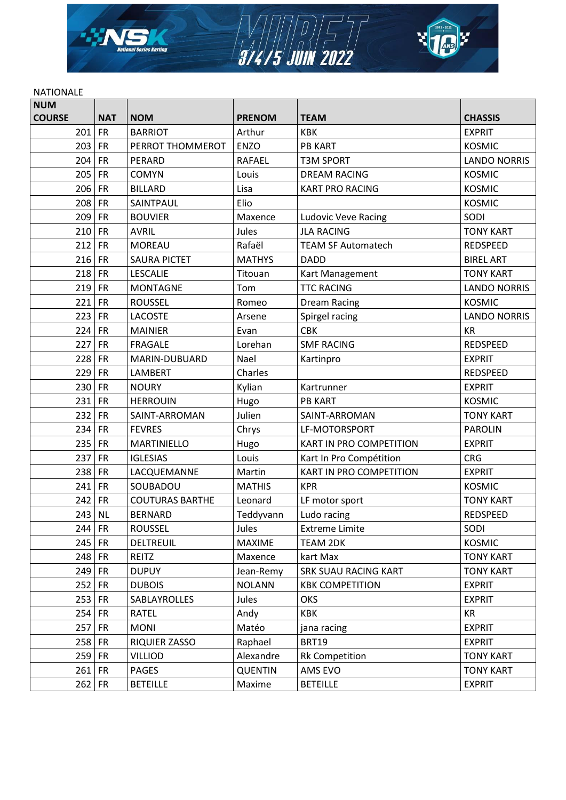

## **NATIONALE**

| <b>NUM</b>    |            |                        |                |                                |                     |
|---------------|------------|------------------------|----------------|--------------------------------|---------------------|
| <b>COURSE</b> | <b>NAT</b> | <b>NOM</b>             | <b>PRENOM</b>  | <b>TEAM</b>                    | <b>CHASSIS</b>      |
| 201           | <b>FR</b>  | <b>BARRIOT</b>         | Arthur         | <b>KBK</b>                     | <b>EXPRIT</b>       |
| 203           | <b>FR</b>  | PERROT THOMMEROT       | <b>ENZO</b>    | <b>PB KART</b>                 | <b>KOSMIC</b>       |
| 204           | <b>FR</b>  | PERARD                 | <b>RAFAEL</b>  | <b>T3M SPORT</b>               | <b>LANDO NORRIS</b> |
| 205           | <b>FR</b>  | <b>COMYN</b>           | Louis          | <b>DREAM RACING</b>            | <b>KOSMIC</b>       |
| 206           | <b>FR</b>  | <b>BILLARD</b>         | Lisa           | <b>KART PRO RACING</b>         | <b>KOSMIC</b>       |
| 208           | <b>FR</b>  | SAINTPAUL              | Elio           |                                | <b>KOSMIC</b>       |
| 209           | <b>FR</b>  | <b>BOUVIER</b>         | Maxence        | <b>Ludovic Veve Racing</b>     | SODI                |
| 210           | <b>FR</b>  | <b>AVRIL</b>           | Jules          | <b>JLA RACING</b>              | <b>TONY KART</b>    |
| 212           | <b>FR</b>  | <b>MOREAU</b>          | Rafaël         | <b>TEAM SF Automatech</b>      | REDSPEED            |
| 216           | <b>FR</b>  | <b>SAURA PICTET</b>    | <b>MATHYS</b>  | <b>DADD</b>                    | <b>BIREL ART</b>    |
| $218$ FR      |            | <b>LESCALIE</b>        | Titouan        | Kart Management                | <b>TONY KART</b>    |
| 219           | FR         | <b>MONTAGNE</b>        | Tom            | <b>TTC RACING</b>              | <b>LANDO NORRIS</b> |
| 221           | <b>FR</b>  | <b>ROUSSEL</b>         | Romeo          | <b>Dream Racing</b>            | <b>KOSMIC</b>       |
| 223           | <b>FR</b>  | <b>LACOSTE</b>         | Arsene         | Spirgel racing                 | <b>LANDO NORRIS</b> |
| 224 FR        |            | <b>MAINIER</b>         | Evan           | <b>CBK</b>                     | <b>KR</b>           |
| 227           | <b>FR</b>  | <b>FRAGALE</b>         | Lorehan        | <b>SMF RACING</b>              | REDSPEED            |
| 228           | FR         | MARIN-DUBUARD          | Nael           | Kartinpro                      | <b>EXPRIT</b>       |
| 229           | <b>FR</b>  | <b>LAMBERT</b>         | Charles        |                                | REDSPEED            |
| 230           | FR         | <b>NOURY</b>           | Kylian         | Kartrunner                     | <b>EXPRIT</b>       |
| $231$ FR      |            | <b>HERROUIN</b>        | Hugo           | <b>PB KART</b>                 | <b>KOSMIC</b>       |
| 232           | <b>FR</b>  | SAINT-ARROMAN          | Julien         | SAINT-ARROMAN                  | <b>TONY KART</b>    |
| 234           | <b>FR</b>  | <b>FEVRES</b>          | Chrys          | LF-MOTORSPORT                  | <b>PAROLIN</b>      |
| 235           | <b>FR</b>  | <b>MARTINIELLO</b>     | Hugo           | KART IN PRO COMPETITION        | <b>EXPRIT</b>       |
| 237           | <b>FR</b>  | <b>IGLESIAS</b>        | Louis          | Kart In Pro Compétition        | <b>CRG</b>          |
| 238           | <b>FR</b>  | LACQUEMANNE            | Martin         | <b>KART IN PRO COMPETITION</b> | <b>EXPRIT</b>       |
| 241           | <b>FR</b>  | SOUBADOU               | <b>MATHIS</b>  | <b>KPR</b>                     | <b>KOSMIC</b>       |
| 242           | <b>FR</b>  | <b>COUTURAS BARTHE</b> | Leonard        | LF motor sport                 | <b>TONY KART</b>    |
| 243           | <b>NL</b>  | <b>BERNARD</b>         | Teddyvann      | Ludo racing                    | REDSPEED            |
| $244$ FR      |            | <b>ROUSSEL</b>         | Jules          | <b>Extreme Limite</b>          | SODI                |
| 245 FR        |            | DELTREUIL              | <b>MAXIME</b>  | <b>TEAM 2DK</b>                | <b>KOSMIC</b>       |
| $248$ FR      |            | REITZ                  | Maxence        | kart Max                       | <b>TONY KART</b>    |
| 249 FR        |            | <b>DUPUY</b>           | Jean-Remy      | SRK SUAU RACING KART           | <b>TONY KART</b>    |
| $252$ FR      |            | <b>DUBOIS</b>          | <b>NOLANN</b>  | <b>KBK COMPETITION</b>         | <b>EXPRIT</b>       |
| $253$ FR      |            | SABLAYROLLES           | Jules          | OKS                            | <b>EXPRIT</b>       |
| $254$ FR      |            | RATEL                  | Andy           | <b>KBK</b>                     | KR                  |
| 257 FR        |            | <b>MONI</b>            | Matéo          | jana racing                    | <b>EXPRIT</b>       |
| $258$ FR      |            | <b>RIQUIER ZASSO</b>   | Raphael        | <b>BRT19</b>                   | <b>EXPRIT</b>       |
| $259$ FR      |            | <b>VILLIOD</b>         | Alexandre      | <b>Rk Competition</b>          | <b>TONY KART</b>    |
| $261$ FR      |            | <b>PAGES</b>           | <b>QUENTIN</b> | AMS EVO                        | <b>TONY KART</b>    |
| 262 FR        |            | <b>BETEILLE</b>        | Maxime         | <b>BETEILLE</b>                | <b>EXPRIT</b>       |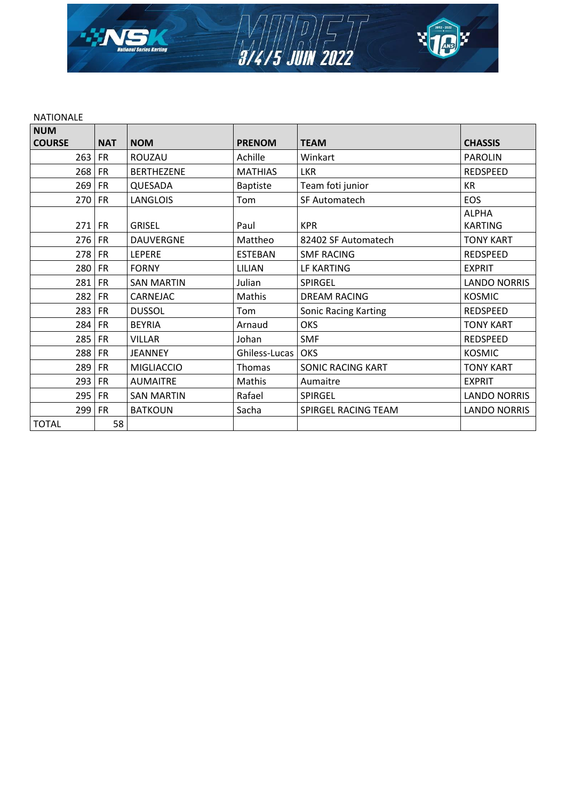

#### NATIONALE

| <b>NUM</b>    |            |                   |                 |                             |                                |
|---------------|------------|-------------------|-----------------|-----------------------------|--------------------------------|
| <b>COURSE</b> | <b>NAT</b> | <b>NOM</b>        | <b>PRENOM</b>   | <b>TEAM</b>                 | <b>CHASSIS</b>                 |
| 263           | <b>FR</b>  | ROUZAU            | Achille         | Winkart                     | <b>PAROLIN</b>                 |
| 268           | <b>FR</b>  | <b>BERTHEZENE</b> | <b>MATHIAS</b>  | <b>LKR</b>                  | <b>REDSPEED</b>                |
| 269           | <b>FR</b>  | QUESADA           | <b>Baptiste</b> | Team foti junior            | <b>KR</b>                      |
| 270           | <b>FR</b>  | <b>LANGLOIS</b>   | Tom             | SF Automatech               | EOS                            |
| $271$ FR      |            | <b>GRISEL</b>     | Paul            | <b>KPR</b>                  | <b>ALPHA</b><br><b>KARTING</b> |
| 276           | <b>FR</b>  | <b>DAUVERGNE</b>  | Mattheo         | 82402 SF Automatech         | <b>TONY KART</b>               |
| 278           | <b>FR</b>  | LEPERE            | <b>ESTEBAN</b>  | <b>SMF RACING</b>           | REDSPEED                       |
| 280           | <b>FR</b>  | <b>FORNY</b>      | LILIAN          | LF KARTING                  | <b>EXPRIT</b>                  |
| 281           | <b>FR</b>  | <b>SAN MARTIN</b> | Julian          | SPIRGEL                     | <b>LANDO NORRIS</b>            |
| 282           | <b>FR</b>  | CARNEJAC          | Mathis          | <b>DREAM RACING</b>         | <b>KOSMIC</b>                  |
| 283           | <b>FR</b>  | <b>DUSSOL</b>     | Tom             | <b>Sonic Racing Karting</b> | REDSPEED                       |
| 284           | <b>FR</b>  | <b>BEYRIA</b>     | Arnaud          | <b>OKS</b>                  | <b>TONY KART</b>               |
| 285           | <b>FR</b>  | <b>VILLAR</b>     | Johan           | <b>SMF</b>                  | <b>REDSPEED</b>                |
| 288           | <b>FR</b>  | <b>JEANNEY</b>    | Ghiless-Lucas   | OKS                         | <b>KOSMIC</b>                  |
| 289           | <b>FR</b>  | <b>MIGLIACCIO</b> | Thomas          | <b>SONIC RACING KART</b>    | <b>TONY KART</b>               |
| 293           | <b>FR</b>  | <b>AUMAITRE</b>   | Mathis          | Aumaitre                    | <b>EXPRIT</b>                  |
| 295           | <b>FR</b>  | <b>SAN MARTIN</b> | Rafael          | SPIRGEL                     | <b>LANDO NORRIS</b>            |
| 299           | <b>FR</b>  | <b>BATKOUN</b>    | Sacha           | SPIRGEL RACING TEAM         | <b>LANDO NORRIS</b>            |
| <b>TOTAL</b>  | 58         |                   |                 |                             |                                |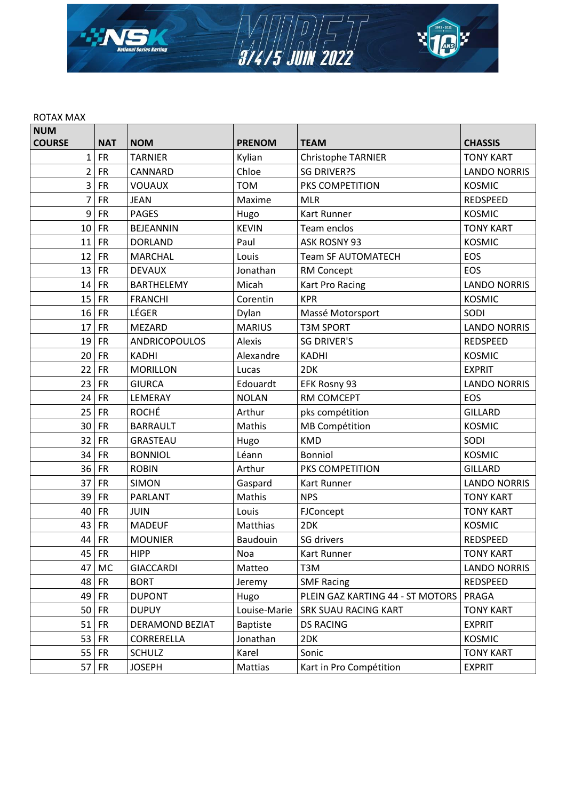

#### ROTAX MAX

| <b>NUM</b>     |            |                        |                 |                                  |                     |
|----------------|------------|------------------------|-----------------|----------------------------------|---------------------|
| <b>COURSE</b>  | <b>NAT</b> | <b>NOM</b>             | <b>PRENOM</b>   | <b>TEAM</b>                      | <b>CHASSIS</b>      |
| $\mathbf{1}$   | <b>FR</b>  | <b>TARNIER</b>         | Kylian          | Christophe TARNIER               | <b>TONY KART</b>    |
| $\overline{2}$ | <b>FR</b>  | CANNARD                | Chloe           | <b>SG DRIVER?S</b>               | <b>LANDO NORRIS</b> |
| 3              | <b>FR</b>  | <b>VOUAUX</b>          | <b>TOM</b>      | PKS COMPETITION                  | <b>KOSMIC</b>       |
| 7              | <b>FR</b>  | <b>JEAN</b>            | Maxime          | <b>MLR</b>                       | <b>REDSPEED</b>     |
| 9              | ${\sf FR}$ | <b>PAGES</b>           | Hugo            | Kart Runner                      | <b>KOSMIC</b>       |
| 10             | <b>FR</b>  | <b>BEJEANNIN</b>       | <b>KEVIN</b>    | Team enclos                      | <b>TONY KART</b>    |
| 11             | <b>FR</b>  | <b>DORLAND</b>         | Paul            | ASK ROSNY 93                     | <b>KOSMIC</b>       |
| 12             | <b>FR</b>  | <b>MARCHAL</b>         | Louis           | <b>Team SF AUTOMATECH</b>        | EOS                 |
| 13             | <b>FR</b>  | <b>DEVAUX</b>          | Jonathan        | RM Concept                       | EOS                 |
| 14             | <b>FR</b>  | <b>BARTHELEMY</b>      | Micah           | Kart Pro Racing                  | <b>LANDO NORRIS</b> |
| 15             | <b>FR</b>  | <b>FRANCHI</b>         | Corentin        | <b>KPR</b>                       | <b>KOSMIC</b>       |
| 16             | <b>FR</b>  | LÉGER                  | Dylan           | Massé Motorsport                 | SODI                |
| 17             | <b>FR</b>  | <b>MEZARD</b>          | <b>MARIUS</b>   | <b>T3M SPORT</b>                 | <b>LANDO NORRIS</b> |
| 19             | <b>FR</b>  | <b>ANDRICOPOULOS</b>   | Alexis          | <b>SG DRIVER'S</b>               | <b>REDSPEED</b>     |
| 20             | <b>FR</b>  | <b>KADHI</b>           | Alexandre       | <b>KADHI</b>                     | <b>KOSMIC</b>       |
| 22             | <b>FR</b>  | <b>MORILLON</b>        | Lucas           | 2DK                              | <b>EXPRIT</b>       |
| 23             | <b>FR</b>  | <b>GIURCA</b>          | Edouardt        | EFK Rosny 93                     | <b>LANDO NORRIS</b> |
| 24             | <b>FR</b>  | LEMERAY                | <b>NOLAN</b>    | RM COMCEPT                       | EOS                 |
| 25             | <b>FR</b>  | <b>ROCHÉ</b>           | Arthur          | pks compétition                  | <b>GILLARD</b>      |
| 30             | <b>FR</b>  | <b>BARRAULT</b>        | Mathis          | <b>MB Compétition</b>            | <b>KOSMIC</b>       |
| 32             | <b>FR</b>  | <b>GRASTEAU</b>        | Hugo            | <b>KMD</b>                       | SODI                |
| 34             | <b>FR</b>  | <b>BONNIOL</b>         | Léann           | Bonniol                          | <b>KOSMIC</b>       |
| 36             | <b>FR</b>  | <b>ROBIN</b>           | Arthur          | PKS COMPETITION                  | <b>GILLARD</b>      |
| 37             | <b>FR</b>  | <b>SIMON</b>           | Gaspard         | Kart Runner                      | <b>LANDO NORRIS</b> |
| 39             | <b>FR</b>  | <b>PARLANT</b>         | Mathis          | <b>NPS</b>                       | <b>TONY KART</b>    |
| 40             | <b>FR</b>  | JUIN                   | Louis           | FJConcept                        | <b>TONY KART</b>    |
| 43             | <b>FR</b>  | <b>MADEUF</b>          | Matthias        | 2DK                              | <b>KOSMIC</b>       |
| 44             | <b>FR</b>  | <b>MOUNIER</b>         | Baudouin        | SG drivers                       | REDSPEED            |
|                | 45   FR    | <b>HIPP</b>            | Noa             | Kart Runner                      | <b>TONY KART</b>    |
| 47             | <b>MC</b>  | <b>GIACCARDI</b>       | Matteo          | T3M                              | <b>LANDO NORRIS</b> |
| 48             | <b>FR</b>  | <b>BORT</b>            | Jeremy          | <b>SMF Racing</b>                | REDSPEED            |
| 49             | <b>FR</b>  | <b>DUPONT</b>          | Hugo            | PLEIN GAZ KARTING 44 - ST MOTORS | PRAGA               |
| 50             | <b>FR</b>  | <b>DUPUY</b>           | Louise-Marie    | SRK SUAU RACING KART             | <b>TONY KART</b>    |
| 51             | <b>FR</b>  | <b>DERAMOND BEZIAT</b> | <b>Baptiste</b> | <b>DS RACING</b>                 | <b>EXPRIT</b>       |
| 53             | <b>FR</b>  | CORRERELLA             | Jonathan        | 2DK                              | <b>KOSMIC</b>       |
| 55             | <b>FR</b>  | <b>SCHULZ</b>          | Karel           | Sonic                            | <b>TONY KART</b>    |
| 57             | <b>FR</b>  | <b>JOSEPH</b>          | Mattias         | Kart in Pro Compétition          | <b>EXPRIT</b>       |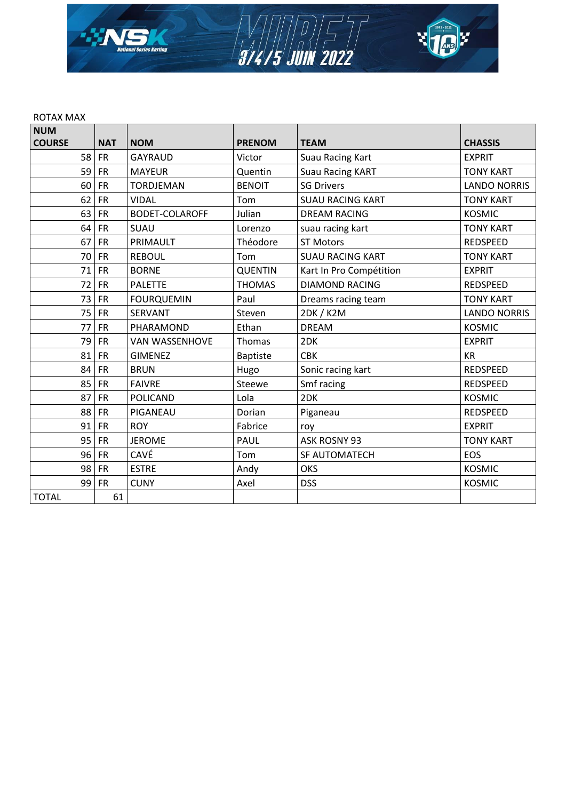

#### ROTAX MAX

| <b>NUM</b>    |            |                       |                 |                         |                     |
|---------------|------------|-----------------------|-----------------|-------------------------|---------------------|
| <b>COURSE</b> | <b>NAT</b> | <b>NOM</b>            | <b>PRENOM</b>   | <b>TEAM</b>             | <b>CHASSIS</b>      |
| 58            | <b>FR</b>  | <b>GAYRAUD</b>        | Victor          | Suau Racing Kart        | <b>EXPRIT</b>       |
| 59            | <b>FR</b>  | <b>MAYEUR</b>         | Quentin         | <b>Suau Racing KART</b> | <b>TONY KART</b>    |
| 60            | <b>FR</b>  | <b>TORDJEMAN</b>      | <b>BENOIT</b>   | <b>SG Drivers</b>       | <b>LANDO NORRIS</b> |
| 62            | <b>FR</b>  | <b>VIDAL</b>          | Tom             | <b>SUAU RACING KART</b> | <b>TONY KART</b>    |
| 63            | <b>FR</b>  | <b>BODET-COLAROFF</b> | Julian          | <b>DREAM RACING</b>     | <b>KOSMIC</b>       |
| 64            | <b>FR</b>  | SUAU                  | Lorenzo         | suau racing kart        | <b>TONY KART</b>    |
| 67            | <b>FR</b>  | PRIMAULT              | Théodore        | <b>ST Motors</b>        | REDSPEED            |
| 70            | <b>FR</b>  | <b>REBOUL</b>         | Tom             | <b>SUAU RACING KART</b> | <b>TONY KART</b>    |
| 71            | <b>FR</b>  | <b>BORNE</b>          | <b>QUENTIN</b>  | Kart In Pro Compétition | <b>EXPRIT</b>       |
| 72            | <b>FR</b>  | <b>PALETTE</b>        | <b>THOMAS</b>   | <b>DIAMOND RACING</b>   | <b>REDSPEED</b>     |
| 73            | <b>FR</b>  | <b>FOURQUEMIN</b>     | Paul            | Dreams racing team      | <b>TONY KART</b>    |
| 75            | <b>FR</b>  | <b>SERVANT</b>        | Steven          | 2DK / K2M               | <b>LANDO NORRIS</b> |
| 77            | <b>FR</b>  | PHARAMOND             | Ethan           | <b>DREAM</b>            | <b>KOSMIC</b>       |
| 79            | <b>FR</b>  | <b>VAN WASSENHOVE</b> | <b>Thomas</b>   | 2DK                     | <b>EXPRIT</b>       |
| 81            | <b>FR</b>  | <b>GIMENEZ</b>        | <b>Baptiste</b> | <b>CBK</b>              | <b>KR</b>           |
| 84            | <b>FR</b>  | <b>BRUN</b>           | Hugo            | Sonic racing kart       | REDSPEED            |
| 85            | <b>FR</b>  | <b>FAIVRE</b>         | Steewe          | Smf racing              | <b>REDSPEED</b>     |
| 87            | <b>FR</b>  | <b>POLICAND</b>       | Lola            | 2DK                     | <b>KOSMIC</b>       |
| 88            | <b>FR</b>  | PIGANEAU              | Dorian          | Piganeau                | <b>REDSPEED</b>     |
| 91            | <b>FR</b>  | <b>ROY</b>            | Fabrice         | roy                     | <b>EXPRIT</b>       |
| 95            | <b>FR</b>  | <b>JEROME</b>         | PAUL            | ASK ROSNY 93            | <b>TONY KART</b>    |
| 96            | <b>FR</b>  | CAVÉ                  | Tom             | SF AUTOMATECH           | EOS                 |
| 98            | <b>FR</b>  | <b>ESTRE</b>          | Andy            | <b>OKS</b>              | <b>KOSMIC</b>       |
| 99            | <b>FR</b>  | <b>CUNY</b>           | Axel            | <b>DSS</b>              | <b>KOSMIC</b>       |
| <b>TOTAL</b>  | 61         |                       |                 |                         |                     |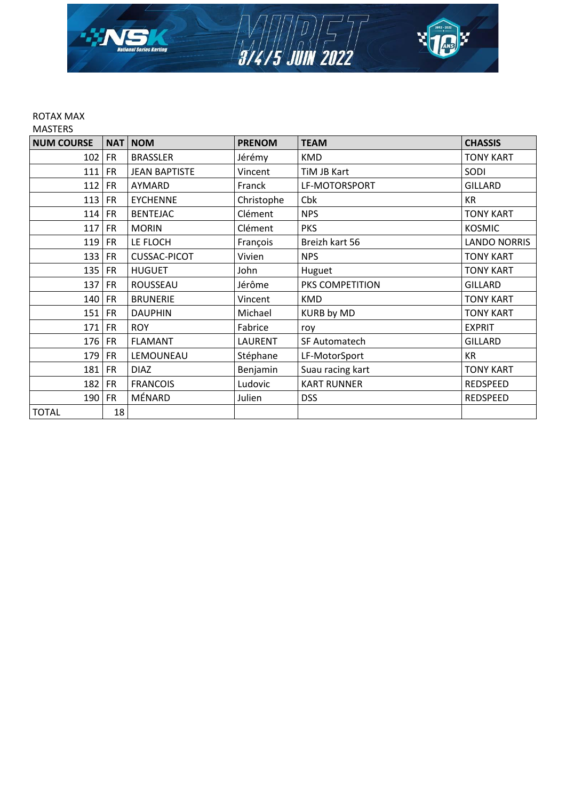

#### ROTAX MAX MASTERS

| <b>NUM COURSE</b> |           | NAT NOM              | <b>PRENOM</b>  | <b>TEAM</b>        | <b>CHASSIS</b>      |
|-------------------|-----------|----------------------|----------------|--------------------|---------------------|
|                   |           |                      |                |                    |                     |
| $102$ FR          |           | <b>BRASSLER</b>      | Jérémy         | <b>KMD</b>         | <b>TONY KART</b>    |
| 111               | <b>FR</b> | <b>JEAN BAPTISTE</b> | Vincent        | TIM JB Kart        | SODI                |
| 112               | <b>FR</b> | AYMARD               | Franck         | LF-MOTORSPORT      | <b>GILLARD</b>      |
| $113$ FR          |           | <b>EYCHENNE</b>      | Christophe     | Cbk                | <b>KR</b>           |
| $114$ FR          |           | <b>BENTEJAC</b>      | Clément        | <b>NPS</b>         | <b>TONY KART</b>    |
| $117$ FR          |           | <b>MORIN</b>         | Clément        | <b>PKS</b>         | <b>KOSMIC</b>       |
| $119$ FR          |           | LE FLOCH             | François       | Breizh kart 56     | <b>LANDO NORRIS</b> |
| $133$ FR          |           | <b>CUSSAC-PICOT</b>  | Vivien         | <b>NPS</b>         | <b>TONY KART</b>    |
| $135$ FR          |           | <b>HUGUET</b>        | John           | Huguet             | <b>TONY KART</b>    |
| $137$ FR          |           | ROUSSEAU             | Jérôme         | PKS COMPETITION    | <b>GILLARD</b>      |
| 140 FR            |           | <b>BRUNERIE</b>      | Vincent        | <b>KMD</b>         | <b>TONY KART</b>    |
| 151               | <b>FR</b> | <b>DAUPHIN</b>       | Michael        | <b>KURB by MD</b>  | <b>TONY KART</b>    |
| $171$ FR          |           | <b>ROY</b>           | Fabrice        | roy                | <b>EXPRIT</b>       |
| $176$ FR          |           | <b>FLAMANT</b>       | <b>LAURENT</b> | SF Automatech      | <b>GILLARD</b>      |
| $179$ FR          |           | LEMOUNEAU            | Stéphane       | LF-MotorSport      | <b>KR</b>           |
| 181               | <b>FR</b> | <b>DIAZ</b>          | Benjamin       | Suau racing kart   | <b>TONY KART</b>    |
| 182 FR            |           | <b>FRANCOIS</b>      | Ludovic        | <b>KART RUNNER</b> | REDSPEED            |
| 190 FR            |           | MÉNARD               | Julien         | <b>DSS</b>         | REDSPEED            |
| <b>TOTAL</b>      | 18        |                      |                |                    |                     |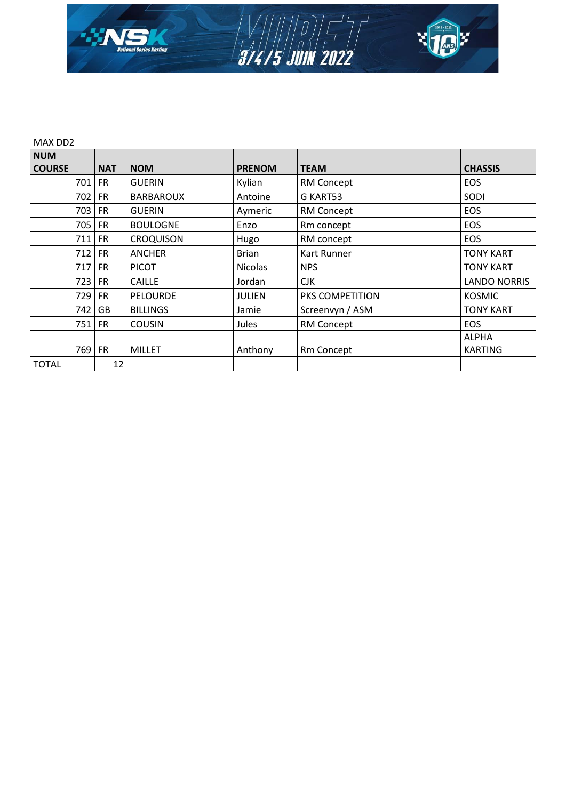

| MAX DD2       |            |                  |                |                   |                     |  |
|---------------|------------|------------------|----------------|-------------------|---------------------|--|
| <b>NUM</b>    |            |                  |                |                   |                     |  |
| <b>COURSE</b> | <b>NAT</b> | <b>NOM</b>       | <b>PRENOM</b>  | <b>TEAM</b>       | <b>CHASSIS</b>      |  |
| 701           | FR         | <b>GUERIN</b>    | Kylian         | RM Concept        | <b>EOS</b>          |  |
| 702           | <b>FR</b>  | <b>BARBAROUX</b> | Antoine        | G KART53          | SODI                |  |
| 703 FR        |            | <b>GUERIN</b>    | Aymeric        | <b>RM Concept</b> | <b>EOS</b>          |  |
| 705           | <b>FR</b>  | <b>BOULOGNE</b>  | Enzo           | Rm concept        | <b>EOS</b>          |  |
| 711           | <b>FR</b>  | <b>CROQUISON</b> | Hugo           | RM concept        | <b>EOS</b>          |  |
| 712           | FR         | <b>ANCHER</b>    | <b>Brian</b>   | Kart Runner       | <b>TONY KART</b>    |  |
| $717$ FR      |            | <b>PICOT</b>     | <b>Nicolas</b> | <b>NPS</b>        | <b>TONY KART</b>    |  |
| 723           | <b>FR</b>  | <b>CAILLE</b>    | Jordan         | <b>CJK</b>        | <b>LANDO NORRIS</b> |  |
| 729           | <b>FR</b>  | <b>PELOURDE</b>  | JULIEN         | PKS COMPETITION   | <b>KOSMIC</b>       |  |
| 742           | GB         | <b>BILLINGS</b>  | Jamie          | Screenvyn / ASM   | <b>TONY KART</b>    |  |
| 751           | <b>FR</b>  | <b>COUSIN</b>    | Jules          | RM Concept        | <b>EOS</b>          |  |
|               |            |                  |                |                   | <b>ALPHA</b>        |  |
| 769 FR        |            | <b>MILLET</b>    | Anthony        | Rm Concept        | <b>KARTING</b>      |  |
| <b>TOTAL</b>  | 12         |                  |                |                   |                     |  |